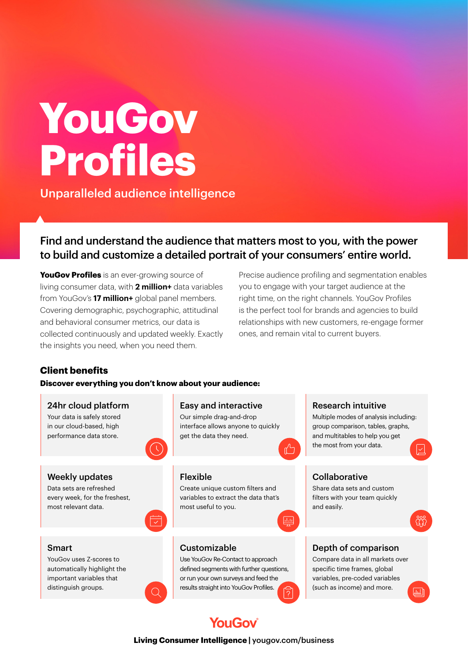# **YouGov Profiles**

Unparalleled audience intelligence

# Find and understand the audience that matters most to you, with the power to build and customize a detailed portrait of your consumers' entire world.

**YouGov Profiles** is an ever-growing source of living consumer data, with **2 million+** data variables from YouGov's **17 million+** global panel members. Covering demographic, psychographic, attitudinal and behavioral consumer metrics, our data is collected continuously and updated weekly. Exactly the insights you need, when you need them.

Precise audience profiling and segmentation enables you to engage with your target audience at the right time, on the right channels. YouGov Profiles is the perfect tool for brands and agencies to build relationships with new customers, re-engage former ones, and remain vital to current buyers.

## **Client benefits**

#### **Discover everything you don't know about your audience:**

24hr cloud platform Easy and interactive Research intuitive Your data is safely stored Our simple drag-and-drop Multiple modes of analysis including: in our cloud-based, high interface allows anyone to quickly group comparison, tables, graphs, performance data store. get the data they need. and multitables to help you get the most from your data. Flexible **Collaborative** Weekly updates Data sets are refreshed Create unique custom filters and Share data sets and custom every week, for the freshest, variables to extract the data that's filters with your team quickly most relevant data. most useful to you. and easily.  $d_{\rm obs}$ ns<br>S Smart Customizable Depth of comparison YouGov uses Z-scores to Use YouGov Re-Contact to approach Compare data in all markets over automatically highlight the defined seaments with further questions, specific time frames, global important variables that or run your own surveys and feed the variables, pre-coded variables distinguish groups. results straight into YouGov Profiles. (such as income) and more.园

# **YouGov**